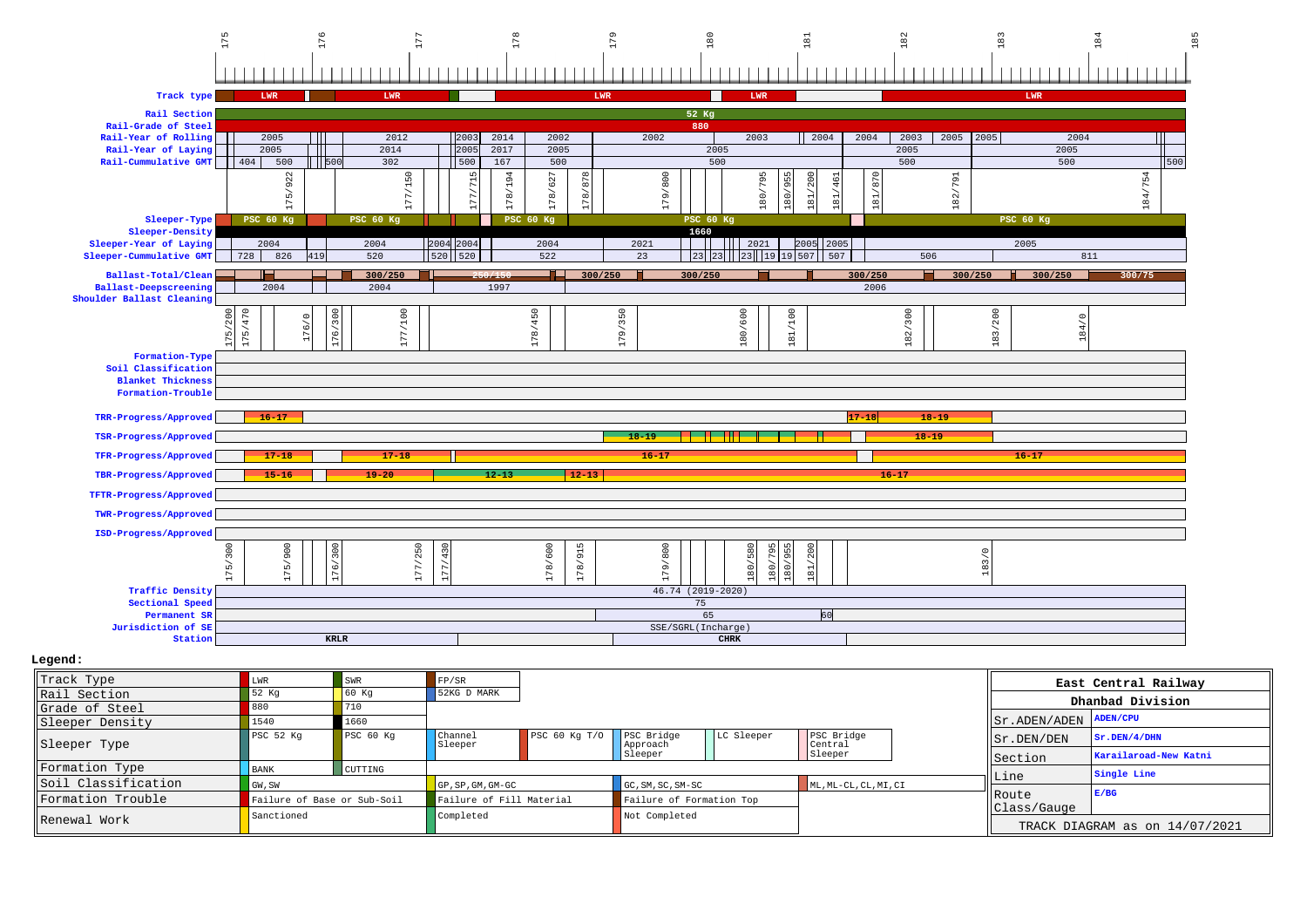

|                     |                             |                |                                                                                    |  | Sleeper                  |  | Sleeper | Section     | Karailaroad-New Katni      |  |
|---------------------|-----------------------------|----------------|------------------------------------------------------------------------------------|--|--------------------------|--|---------|-------------|----------------------------|--|
| Formation Type      | <b>BANK</b>                 | <b>CUTTING</b> |                                                                                    |  |                          |  |         |             | Single Line                |  |
| Soil Classification | GW, SW                      |                | $GG$ . SM. SC. SM-SC<br>$ML, ML-CL, CL, ML, CL$<br>$\overline{GP}$ , SP, GM, GM-GC |  |                          |  | ∥Line   |             |                            |  |
| lFormation Trouble  | Failure of Base or Sub-Soil |                | Failure of Fill Material                                                           |  | Failure of Formation Top |  |         | Route       | E/BG                       |  |
| Renewal Work        | Sanctioned                  |                | Completed                                                                          |  | Not Completed            |  |         | Class/Gauge | TRACK DIAGRAM as on 14/07/ |  |

 $/07/2021$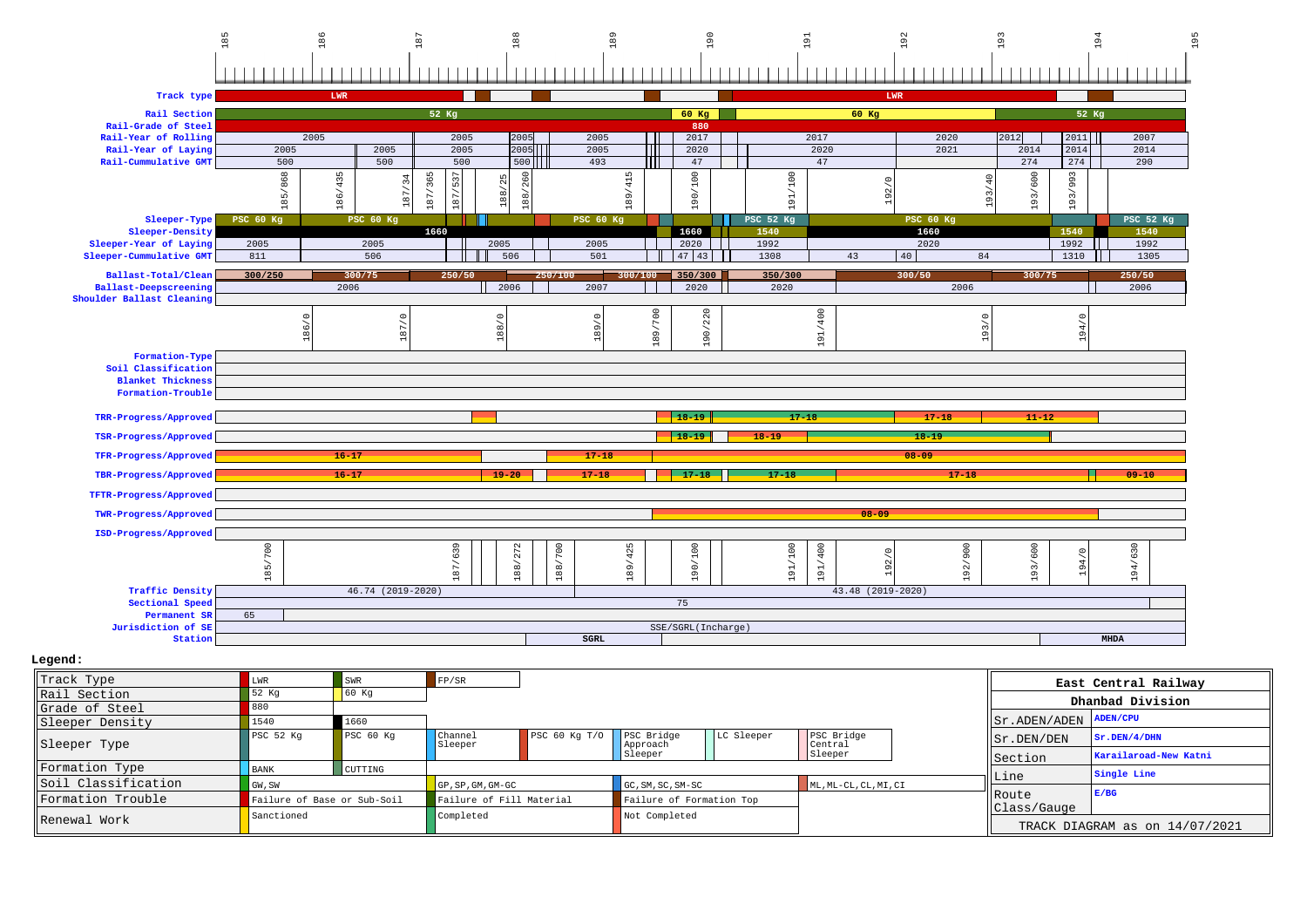|                                                   | $185$            | 186                                   | 67                                                    | $\frac{8}{6}$                        | $\frac{9}{6}$ | 190                    | 51               | 192                       | 193                                              | 95                                       |
|---------------------------------------------------|------------------|---------------------------------------|-------------------------------------------------------|--------------------------------------|---------------|------------------------|------------------|---------------------------|--------------------------------------------------|------------------------------------------|
|                                                   |                  |                                       |                                                       |                                      |               |                        |                  |                           |                                                  |                                          |
| Track type                                        |                  | LWR                                   |                                                       |                                      |               |                        |                  | LWR                       |                                                  |                                          |
| Rail Section                                      |                  |                                       | 52 Kg                                                 |                                      |               | $60$ Kg                |                  | 60 Kg                     |                                                  | 52 Kg                                    |
| Rail-Grade of Steel                               |                  |                                       |                                                       |                                      |               | 880                    |                  |                           |                                                  |                                          |
| Rail-Year of Rolling                              |                  | 2005                                  | 2005                                                  | 2005                                 | 2005          | 2017                   | 2017             | 2020                      | 2012<br>2011                                     | 2007                                     |
| Rail-Year of Laying                               | 2005             | 2005                                  | 2005                                                  | 2005                                 | 2005          | 2020                   | 2020             | 2021                      | 2014<br>2014                                     | 2014                                     |
| Rail-Cummulative GMT                              | 500              | 500                                   | 500                                                   | 500                                  | 493           | 47                     | 47               |                           | 274<br>274                                       | 290                                      |
|                                                   | 185/868          | 435<br>$\overline{34}$<br>186/<br>187 | $\mathrel{\sim}$<br>187/365<br>$\overline{10}$<br>187 | 260<br>25<br>$\overline{88}$<br>188/ | 415<br>189    | 190/100                | 191/100          | S<br>192                  | 193/600<br>993<br>$\frac{40}{5}$<br>193/<br>193/ |                                          |
| Sleeper-Type                                      | <b>PSC 60 Kg</b> | PSC 60 Kg                             |                                                       |                                      | PSC 60 Kg     |                        | <b>PSC 52 Kg</b> | PSC 60 Kg                 |                                                  | PSC 52 Kg                                |
| Sleeper-Density                                   | 2005             |                                       | 1660                                                  |                                      | 2005          | 1660<br>2020           | 1540<br>1992     | 1660<br>2020              | 1540<br>1992                                     | 1540<br>1992                             |
| Sleeper-Year of Laying<br>Sleeper-Cummulative GMT | 811              | 2005<br>506                           | 2005                                                  | 506                                  | 501           | $47 \mid 43 \mid$      | 1308             | 43<br>40<br>84            | 1310                                             | 1305                                     |
|                                                   |                  |                                       |                                                       |                                      |               |                        |                  |                           |                                                  |                                          |
| Ballast-Total/Clean                               | 300/250          | 300/75                                | 250/50                                                | 250/100                              | 3007100       | 350/300                | 350/300          | 300/50                    | 300/75                                           | 250/50                                   |
| <b>Ballast-Deepscreening</b>                      |                  | 2006                                  |                                                       | 2006                                 | 2007          | 2020                   | 2020             | 2006                      |                                                  | 2006                                     |
| Shoulder Ballast Cleaning                         |                  |                                       |                                                       |                                      |               |                        |                  |                           |                                                  |                                          |
|                                                   |                  | 187/0<br><b>LC</b>                    | $\circ$<br>$\frac{8}{8}$                              |                                      | $\circ$<br>39 | 189/700<br>220<br>190/ | 191/400          | $\subset$<br>$\sim$<br>o  | $\circ$<br>194/                                  |                                          |
| Formation-Type                                    |                  |                                       |                                                       |                                      |               |                        |                  |                           |                                                  |                                          |
| Soil Classification                               |                  |                                       |                                                       |                                      |               |                        |                  |                           |                                                  |                                          |
| <b>Blanket Thickness</b>                          |                  |                                       |                                                       |                                      |               |                        |                  |                           |                                                  |                                          |
| Formation-Trouble                                 |                  |                                       |                                                       |                                      |               |                        |                  |                           |                                                  |                                          |
|                                                   |                  |                                       |                                                       |                                      |               | $18 - 19$              |                  |                           |                                                  |                                          |
| TRR-Progress/Approved                             |                  |                                       |                                                       |                                      |               |                        | $17 - 18$        | $17 - 18$                 | $11 - 12$                                        |                                          |
| TSR-Progress/Approved                             |                  |                                       |                                                       |                                      |               | $18 - 19$              | $18 - 19$        | $18 - 19$                 |                                                  |                                          |
| TFR-Progress/Approved                             |                  | $16 - 17$                             |                                                       |                                      | $17 - 18$     |                        |                  | $08 - 09$                 |                                                  |                                          |
| TBR-Progress/Approved                             |                  | $16 - 17$                             |                                                       | $19 - 20$                            | $17 - 18$     | $17 - 18$              | $17 - 18$        | $17 - 18$                 |                                                  | $09 - 10$                                |
| TFTR-Progress/Approved                            |                  |                                       |                                                       |                                      |               |                        |                  |                           |                                                  |                                          |
| TWR-Progress/Approved                             |                  |                                       |                                                       |                                      |               |                        |                  | $08 - 09$                 |                                                  |                                          |
| ISD-Progress/Approved                             |                  |                                       |                                                       |                                      |               |                        |                  |                           |                                                  |                                          |
|                                                   |                  |                                       |                                                       | $\sim$                               |               |                        |                  |                           |                                                  |                                          |
|                                                   |                  |                                       |                                                       | $\overline{27}$                      | 425           |                        | 400              | 900                       | 600                                              | 630                                      |
|                                                   |                  |                                       | 87/639                                                |                                      |               |                        |                  | 192/0                     | 94                                               |                                          |
| <b>Traffic Density</b>                            | 185/700          | 46.74 (2019-2020)                     |                                                       | 188/700<br>188/                      | 189/          | 190/100                | 191/100<br>191/  | 192/<br>43.48 (2019-2020) | 193/                                             | 194/                                     |
| Sectional Speed                                   |                  |                                       |                                                       |                                      |               | 75                     |                  |                           |                                                  |                                          |
| Permanent SR                                      | 65               |                                       |                                                       |                                      |               |                        |                  |                           |                                                  |                                          |
| Jurisdiction of SE                                |                  |                                       |                                                       |                                      |               | SSE/SGRL(Incharge)     |                  |                           |                                                  |                                          |
| Station                                           |                  |                                       |                                                       |                                      | $_{\tt SGRL}$ |                        |                  |                           |                                                  | <b>MHDA</b>                              |
| Legend:                                           |                  |                                       |                                                       |                                      |               |                        |                  |                           |                                                  |                                          |
| Track Type                                        | $_{\rm LWR}$     | $\ensuremath{\mathsf{SWR}}$           | FP/SR                                                 |                                      |               |                        |                  |                           |                                                  |                                          |
| Rail Section<br>Grade of Steel                    | $52$ Kg<br>880   | 60 Kg                                 |                                                       |                                      |               |                        |                  |                           |                                                  | East Central Railway<br>Dhanbad Division |

| Grade of Steel      |                             |                |                               |                            |                          |            |                       |                                 | manpau prvision                |
|---------------------|-----------------------------|----------------|-------------------------------|----------------------------|--------------------------|------------|-----------------------|---------------------------------|--------------------------------|
| Sleeper Density     | 1540                        | 1660           |                               |                            |                          |            |                       | $  $ Sr. ADEN/ADEN $ $ ADEN/CPU |                                |
| Sleeper Type        | PSC 52 Kg                   | PSC 60 Kg      | Channel<br>Sleeper            | PSC 60 Kg T/O   PSC Bridge | Approach                 | LC Sleeper | PSC Bridge<br>Central | $\parallel$ Sr. DEN/DEN         | Sr.DEN/4/DHN                   |
|                     |                             |                |                               |                            | Sleeper                  |            | Sleeper               | <b>Section</b>                  | Karailaroad-New Katni          |
| Formation Type      | <b>BANK</b>                 | <b>CUTTING</b> |                               |                            |                          |            |                       |                                 | Single Line                    |
| Soil Classification | GW, SW                      |                | $\overline{G}$ GP.SP.GM.GM-GC |                            | GC.SM.SC.SM-SC           |            | ML, ML-CL, CL, MI, CI | Line                            |                                |
| Formation Trouble   | Failure of Base or Sub-Soil |                | Failure of Fill Material      |                            | Failure of Formation Top |            |                       | <b>IRoute</b><br>Class/Gauge    | E/BG                           |
| Renewal Work        | Sanctioned                  |                | Completed                     |                            | Not Completed            |            |                       |                                 | TRACK DIAGRAM as on 14/07/2021 |